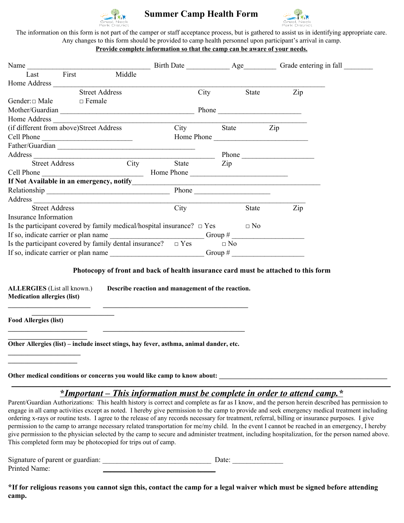

# **Summer Camp Health Form**



The information on this form is not part of the camper or staff acceptance process, but is gathered to assist us in identifying appropriate care. Any changes to this form should be provided to camp health personnel upon participant's arrival in camp.

## **Provide complete information so that the camp can be aware of your needs.**

| Name                                    |       |                                                                             |       |           |            |           |     |  |
|-----------------------------------------|-------|-----------------------------------------------------------------------------|-------|-----------|------------|-----------|-----|--|
| Last                                    | First | Middle                                                                      |       |           |            |           |     |  |
|                                         |       |                                                                             |       |           |            |           |     |  |
|                                         |       | <b>Street Address</b>                                                       |       | City      |            | State     | Zip |  |
| Gender: $\Box$ Male $\Box$ Female       |       |                                                                             |       |           |            |           |     |  |
|                                         |       | Mother/Guardian                                                             |       |           |            |           |     |  |
|                                         |       |                                                                             |       |           |            |           |     |  |
| (if different from above)Street Address |       |                                                                             |       | City      |            | State Zip |     |  |
|                                         |       |                                                                             |       |           | Home Phone |           |     |  |
|                                         |       | Father/Guardian                                                             |       |           |            |           |     |  |
|                                         |       |                                                                             |       |           |            |           |     |  |
|                                         |       | Street Address City                                                         | State |           | Zip        |           |     |  |
|                                         |       |                                                                             |       |           |            |           |     |  |
|                                         |       |                                                                             |       |           |            |           |     |  |
|                                         |       |                                                                             |       |           |            |           |     |  |
|                                         |       |                                                                             |       |           |            |           |     |  |
| <b>Street Address</b>                   |       |                                                                             | City  |           |            | State     | Zip |  |
| Insurance Information                   |       |                                                                             |       |           |            |           |     |  |
|                                         |       | Is the participant covered by family medical/hospital insurance? $\Box$ Yes |       |           |            | $\Box$ No |     |  |
|                                         |       | If so, indicate carrier or plan name Group # Group #                        |       |           |            |           |     |  |
|                                         |       | Is the participant covered by family dental insurance? $\Box$ Yes           |       |           | $\Box$ No  |           |     |  |
| If so, indicate carrier or plan name    |       |                                                                             |       | Group $#$ |            |           |     |  |

### **Photocopy of front and back of health insurance card must be attached to this form**

**ALLERGIES** (List all known.) **Describe reaction and management of the reaction. Medication allergies (list) \_\_\_\_\_\_\_\_\_\_\_\_\_\_\_\_\_\_\_\_\_\_\_\_\_ \_\_\_\_\_\_\_\_\_\_\_\_\_\_\_\_\_\_\_\_\_\_\_\_\_\_\_\_\_\_\_\_\_\_\_\_\_\_\_\_\_\_\_\_**

**Food Allergies (list)**

**\_\_\_\_\_\_\_\_\_\_\_\_\_\_\_\_\_\_\_\_\_\_\_\_**

**\_\_\_\_\_\_\_\_\_\_\_\_\_\_\_\_\_\_\_\_\_\_ \_\_\_\_\_\_\_\_\_\_\_\_\_\_\_\_\_\_\_\_\_**

**\_\_\_\_\_\_\_\_\_\_\_\_\_\_\_\_\_\_\_\_\_\_\_\_\_**

**Other Allergies (list) – include insect stings, hay fever, asthma, animal dander, etc.**

**\_\_\_\_\_\_\_\_\_\_\_\_\_\_\_\_\_\_\_\_\_\_\_\_ \_\_\_\_\_\_\_\_\_\_\_\_\_\_\_\_\_\_\_\_\_\_\_\_\_\_\_\_\_\_\_\_\_\_\_\_\_\_\_\_\_\_\_**

**Other medical conditions or concerns you would like camp to know about: \_\_\_\_\_\_\_\_\_\_\_\_\_\_\_\_\_\_\_\_\_\_\_\_\_\_\_\_\_\_\_\_\_\_\_\_\_\_\_\_\_\_\_\_\_\_\_\_\_\_\_**

# **\_\_\_\_\_\_\_\_\_\_\_\_\_\_\_\_\_\_\_\_\_\_\_\_\_\_\_\_\_\_\_\_\_\_\_\_\_\_\_\_\_\_\_\_\_\_\_\_\_\_\_\_\_\_\_\_\_\_\_\_\_\_\_\_\_\_\_\_\_\_\_\_\_\_\_\_\_\_\_\_\_\_\_\_\_\_\_\_\_\_\_\_\_\_\_\_\_\_\_\_\_\_\_\_\_\_\_\_\_\_\_\_\_\_\_ \****Important – This information must be complete in order to attend camp.\**

Parent/Guardian Authorizations: This health history is correct and complete as far as I know, and the person herein described has permission to engage in all camp activities except as noted. I hereby give permission to the camp to provide and seek emergency medical treatment including ordering x-rays or routine tests. I agree to the release of any records necessary for treatment, referral, billing or insurance purposes. I give permission to the camp to arrange necessary related transportation for me/my child. In the event I cannot be reached in an emergency, I hereby give permission to the physician selected by the camp to secure and administer treatment, including hospitalization, for the person named above. This completed form may be photocopied for trips out of camp.

| Signature of parent or guardian: | Date: |
|----------------------------------|-------|
| Printed Name:                    |       |

\*If for religious reasons you cannot sign this, contact the camp for a legal waiver which must be signed before attending **camp.**